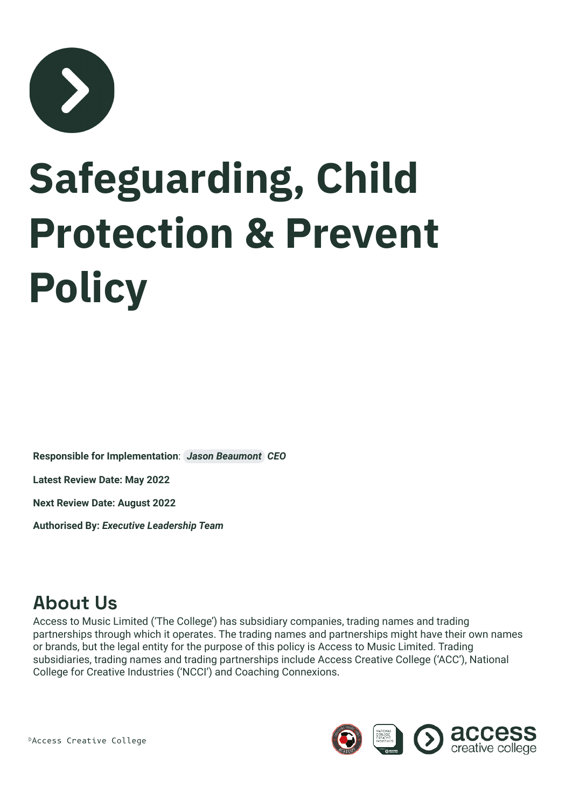

# **Safeguarding, Child Protection & Prevent Policy**

**Responsible for Implementation**: *[Jason Beaumont](mailto:jason.beaumont@accesstomusic.ac.uk) CEO*

**Latest Review Date: May 2022**

**Next Review Date: August 2022**

**Authorised By:** *Executive Leadership Team*

#### **About Us**

Access to Music Limited ('The College') has subsidiary companies, trading names and trading partnerships through which it operates. The trading names and partnerships might have their own names or brands, but the legal entity for the purpose of this policy is Access to Music Limited. Trading subsidiaries, trading names and trading partnerships include Access Creative College ('ACC'), National College for Creative Industries ('NCCI') and Coaching Connexions.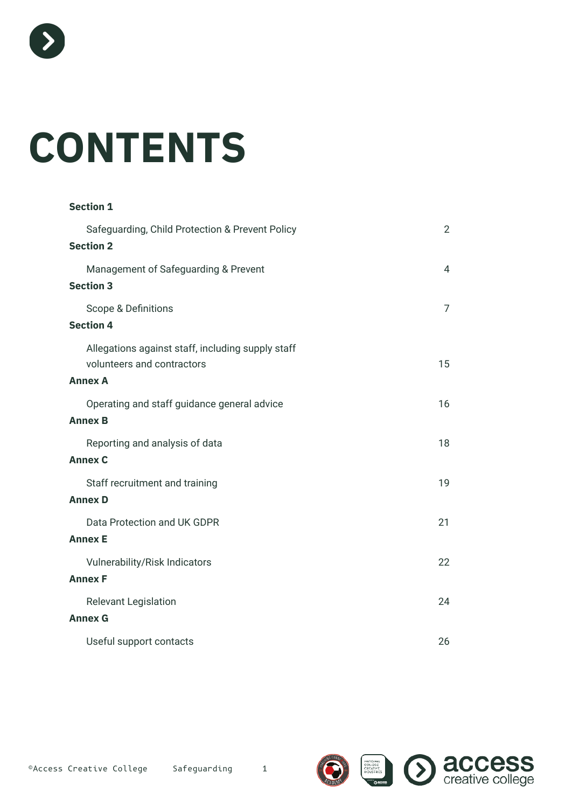

# **CONTENTS**

| <b>Section 1</b>                                                                                  |                |
|---------------------------------------------------------------------------------------------------|----------------|
| Safeguarding, Child Protection & Prevent Policy<br><b>Section 2</b>                               | $\overline{2}$ |
| Management of Safeguarding & Prevent<br><b>Section 3</b>                                          | 4              |
| Scope & Definitions<br><b>Section 4</b>                                                           | $\overline{7}$ |
| Allegations against staff, including supply staff<br>volunteers and contractors<br><b>Annex A</b> | 15             |
| Operating and staff guidance general advice<br><b>Annex B</b>                                     | 16             |
| Reporting and analysis of data<br><b>Annex C</b>                                                  | 18             |
| Staff recruitment and training<br><b>Annex D</b>                                                  | 19             |
| Data Protection and UK GDPR<br><b>Annex E</b>                                                     | 21             |
| <b>Vulnerability/Risk Indicators</b><br><b>Annex F</b>                                            | 22             |
| <b>Relevant Legislation</b><br><b>Annex G</b>                                                     | 24             |
| Useful support contacts                                                                           | 26             |

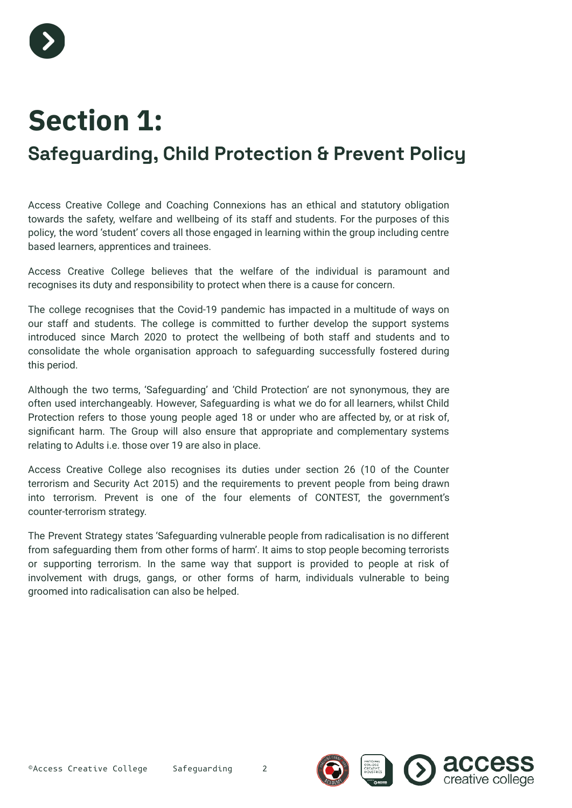

# **Section 1:**

### <span id="page-2-0"></span>**Safeguarding, Child Protection & Prevent Policy**

Access Creative College and Coaching Connexions has an ethical and statutory obligation towards the safety, welfare and wellbeing of its staff and students. For the purposes of this policy, the word 'student' covers all those engaged in learning within the group including centre based learners, apprentices and trainees.

Access Creative College believes that the welfare of the individual is paramount and recognises its duty and responsibility to protect when there is a cause for concern.

The college recognises that the Covid-19 pandemic has impacted in a multitude of ways on our staff and students. The college is committed to further develop the support systems introduced since March 2020 to protect the wellbeing of both staff and students and to consolidate the whole organisation approach to safeguarding successfully fostered during this period.

Although the two terms, 'Safeguarding' and 'Child Protection' are not synonymous, they are often used interchangeably. However, Safeguarding is what we do for all learners, whilst Child Protection refers to those young people aged 18 or under who are affected by, or at risk of, significant harm. The Group will also ensure that appropriate and complementary systems relating to Adults i.e. those over 19 are also in place.

Access Creative College also recognises its duties under section 26 (10 of the Counter terrorism and Security Act 2015) and the requirements to prevent people from being drawn into terrorism. Prevent is one of the four elements of CONTEST, the government's counter-terrorism strategy.

The Prevent Strategy states 'Safeguarding vulnerable people from radicalisation is no different from safeguarding them from other forms of harm'. It aims to stop people becoming terrorists or supporting terrorism. In the same way that support is provided to people at risk of involvement with drugs, gangs, or other forms of harm, individuals vulnerable to being groomed into radicalisation can also be helped.

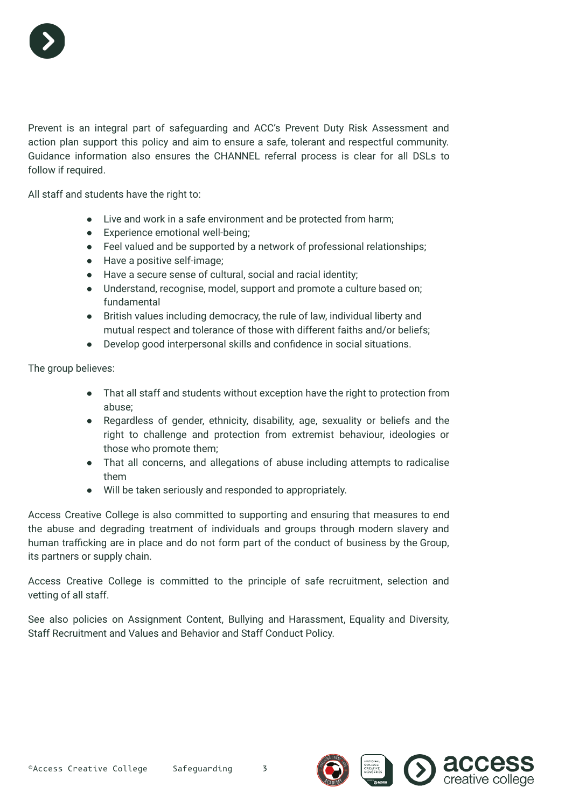

Prevent is an integral part of safeguarding and ACC's Prevent Duty Risk Assessment and action plan support this policy and aim to ensure a safe, tolerant and respectful community. Guidance information also ensures the CHANNEL referral process is clear for all DSLs to follow if required.

All staff and students have the right to:

- Live and work in a safe environment and be protected from harm;
- Experience emotional well-being;
- Feel valued and be supported by a network of professional relationships;
- Have a positive self-image;
- Have a secure sense of cultural, social and racial identity;
- Understand, recognise, model, support and promote a culture based on; fundamental
- British values including democracy, the rule of law, individual liberty and mutual respect and tolerance of those with different faiths and/or beliefs;
- Develop good interpersonal skills and confidence in social situations.

The group believes:

- That all staff and students without exception have the right to protection from abuse;
- Regardless of gender, ethnicity, disability, age, sexuality or beliefs and the right to challenge and protection from extremist behaviour, ideologies or those who promote them;
- That all concerns, and allegations of abuse including attempts to radicalise them
- Will be taken seriously and responded to appropriately.

Access Creative College is also committed to supporting and ensuring that measures to end the abuse and degrading treatment of individuals and groups through modern slavery and human trafficking are in place and do not form part of the conduct of business by the Group, its partners or supply chain.

Access Creative College is committed to the principle of safe recruitment, selection and vetting of all staff.

See also policies on Assignment Content, Bullying and Harassment, Equality and Diversity, Staff Recruitment and Values and Behavior and Staff Conduct Policy.

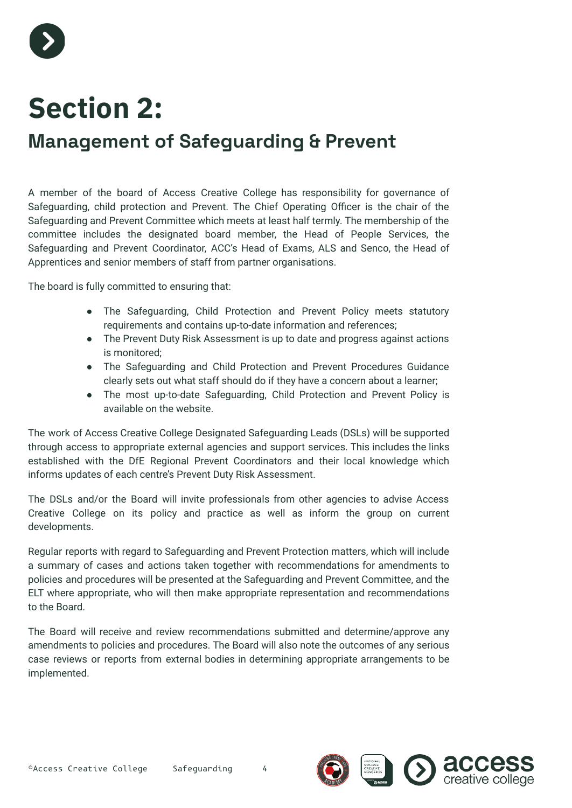

# **Section 2:**

### **Management of Safeguarding & Prevent**

A member of the board of Access Creative College has responsibility for governance of Safeguarding, child protection and Prevent. The Chief Operating Officer is the chair of the Safeguarding and Prevent Committee which meets at least half termly. The membership of the committee includes the designated board member, the Head of People Services, the Safeguarding and Prevent Coordinator, ACC's Head of Exams, ALS and Senco, the Head of Apprentices and senior members of staff from partner organisations.

The board is fully committed to ensuring that:

- The Safeguarding, Child Protection and Prevent Policy meets statutory requirements and contains up-to-date information and references;
- The Prevent Duty Risk Assessment is up to date and progress against actions is monitored;
- The Safeguarding and Child Protection and Prevent Procedures Guidance clearly sets out what staff should do if they have a concern about a learner;
- The most up-to-date Safeguarding, Child Protection and Prevent Policy is available on the website.

The work of Access Creative College Designated Safeguarding Leads (DSLs) will be supported through access to appropriate external agencies and support services. This includes the links established with the DfE Regional Prevent Coordinators and their local knowledge which informs updates of each centre's Prevent Duty Risk Assessment.

The DSLs and/or the Board will invite professionals from other agencies to advise Access Creative College on its policy and practice as well as inform the group on current developments.

Regular reports with regard to Safeguarding and Prevent Protection matters, which will include a summary of cases and actions taken together with recommendations for amendments to policies and procedures will be presented at the Safeguarding and Prevent Committee, and the ELT where appropriate, who will then make appropriate representation and recommendations to the Board.

The Board will receive and review recommendations submitted and determine/approve any amendments to policies and procedures. The Board will also note the outcomes of any serious case reviews or reports from external bodies in determining appropriate arrangements to be implemented.

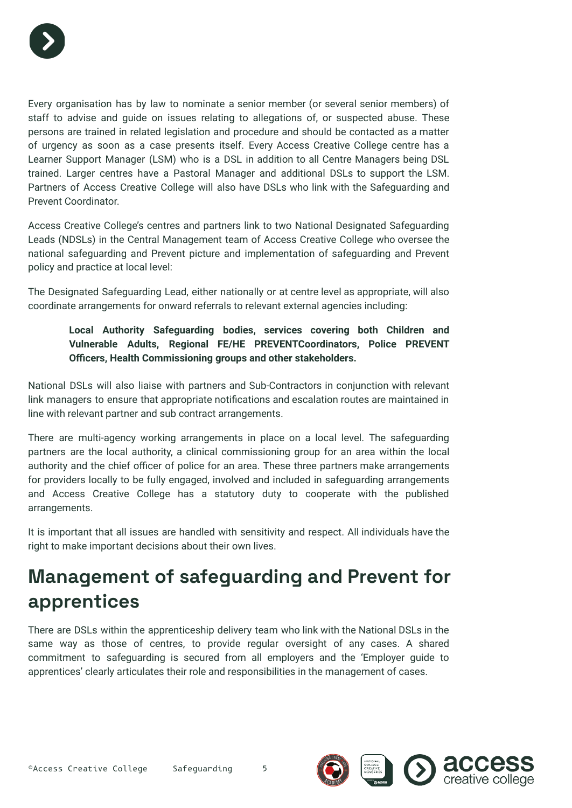

Every organisation has by law to nominate a senior member (or several senior members) of staff to advise and guide on issues relating to allegations of, or suspected abuse. These persons are trained in related legislation and procedure and should be contacted as a matter of urgency as soon as a case presents itself. Every Access Creative College centre has a Learner Support Manager (LSM) who is a DSL in addition to all Centre Managers being DSL trained. Larger centres have a Pastoral Manager and additional DSLs to support the LSM. Partners of Access Creative College will also have DSLs who link with the Safeguarding and Prevent Coordinator.

Access Creative College's centres and partners link to two National Designated Safeguarding Leads (NDSLs) in the Central Management team of Access Creative College who oversee the national safeguarding and Prevent picture and implementation of safeguarding and Prevent policy and practice at local level:

The Designated Safeguarding Lead, either nationally or at centre level as appropriate, will also coordinate arrangements for onward referrals to relevant external agencies including:

**Local Authority Safeguarding bodies, services covering both Children and Vulnerable Adults, Regional FE/HE PREVENTCoordinators, Police PREVENT Officers, Health Commissioning groups and other stakeholders.**

National DSLs will also liaise with partners and Sub-Contractors in conjunction with relevant link managers to ensure that appropriate notifications and escalation routes are maintained in line with relevant partner and sub contract arrangements.

There are multi-agency working arrangements in place on a local level. The safeguarding partners are the local authority, a clinical commissioning group for an area within the local authority and the chief officer of police for an area. These three partners make arrangements for providers locally to be fully engaged, involved and included in safeguarding arrangements and Access Creative College has a statutory duty to cooperate with the published arrangements.

It is important that all issues are handled with sensitivity and respect. All individuals have the right to make important decisions about their own lives.

### **Management of safeguarding and Prevent for apprentices**

There are DSLs within the apprenticeship delivery team who link with the National DSLs in the same way as those of centres, to provide regular oversight of any cases. A shared commitment to safeguarding is secured from all employers and the 'Employer guide to apprentices' clearly articulates their role and responsibilities in the management of cases.

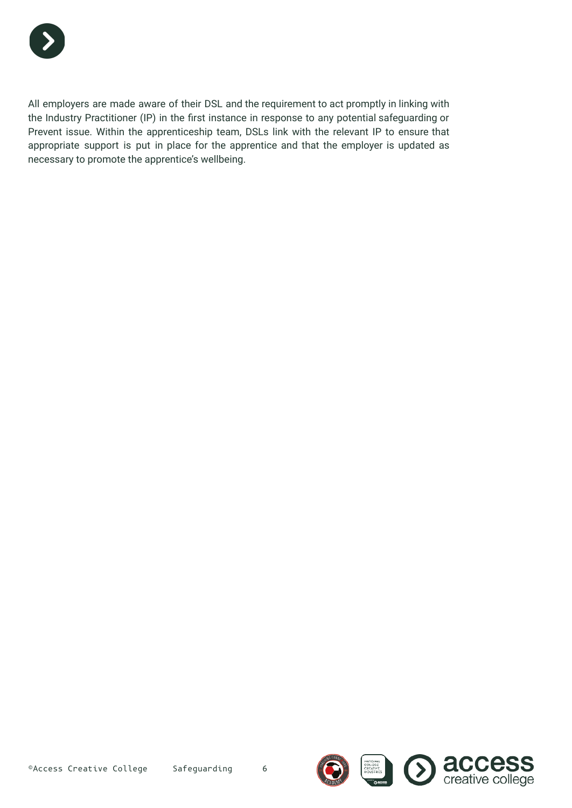

All employers are made aware of their DSL and the requirement to act promptly in linking with the Industry Practitioner (IP) in the first instance in response to any potential safeguarding or Prevent issue. Within the apprenticeship team, DSLs link with the relevant IP to ensure that appropriate support is put in place for the apprentice and that the employer is updated as necessary to promote the apprentice's wellbeing.



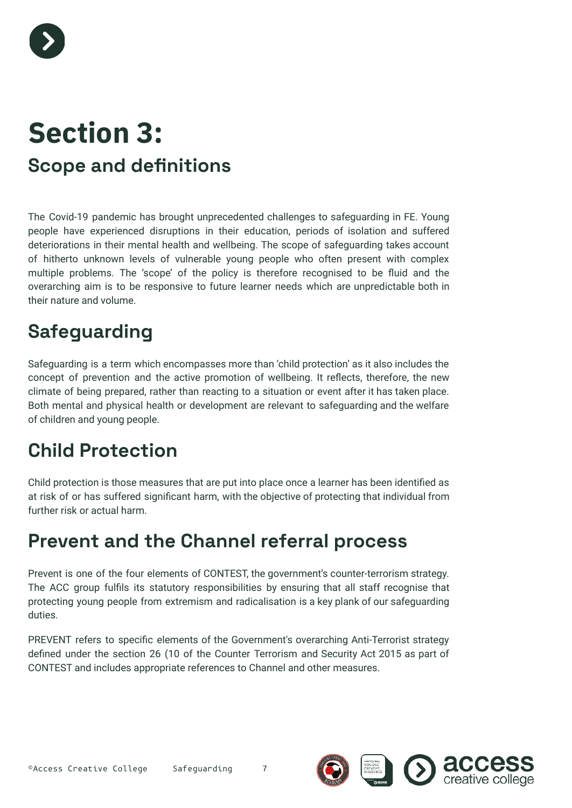

# **Section 3: Scope and definitions**

The Covid-19 pandemic has brought unprecedented challenges to safeguarding in FE. Young people have experienced disruptions in their education, periods of isolation and suffered deteriorations in their mental health and wellbeing. The scope of safeguarding takes account of hitherto unknown levels of vulnerable young people who often present with complex multiple problems. The 'scope' of the policy is therefore recognised to be fluid and the overarching aim is to be responsive to future learner needs which are unpredictable both in their nature and volume.

### **Safeguarding**

Safeguarding is a term which encompasses more than 'child protection' as it also includes the concept of prevention and the active promotion of wellbeing. It reflects, therefore, the new climate of being prepared, rather than reacting to a situation or event after it has taken place. Both mental and physical health or development are relevant to safeguarding and the welfare of children and young people.

### **Child Protection**

Child protection is those measures that are put into place once a learner has been identified as at risk of or has suffered significant harm, with the objective of protecting that individual from further risk or actual harm.

#### **Prevent and the Channel referral process**

Prevent is one of the four elements of CONTEST, the government's counter-terrorism strategy. The ACC group fulfils its statutory responsibilities by ensuring that all staff recognise that protecting young people from extremism and radicalisation is a key plank of our safeguarding duties.

PREVENT refers to specific elements of the Government's overarching Anti-Terrorist strategy defined under the section 26 (10 of the Counter Terrorism and Security Act 2015 as part of CONTEST and includes appropriate references to Channel and other measures.

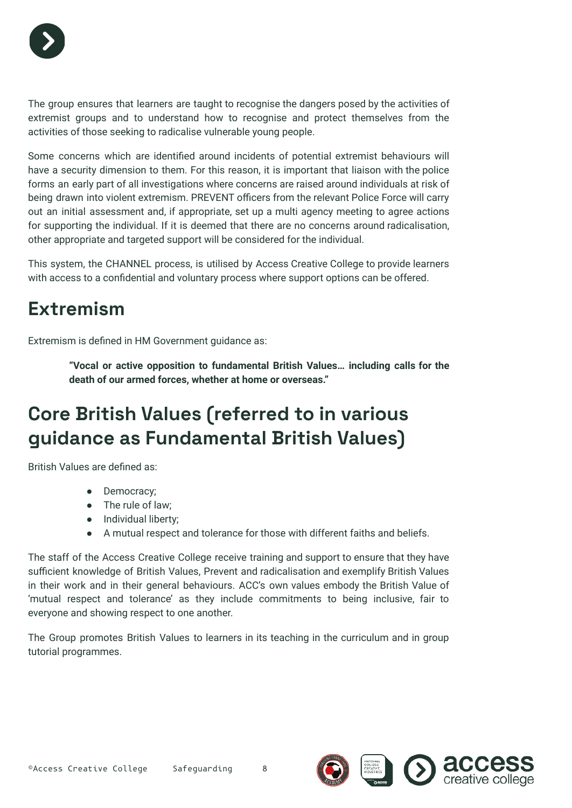

The group ensures that learners are taught to recognise the dangers posed by the activities of extremist groups and to understand how to recognise and protect themselves from the activities of those seeking to radicalise vulnerable young people.

Some concerns which are identified around incidents of potential extremist behaviours will have a security dimension to them. For this reason, it is important that liaison with the police forms an early part of all investigations where concerns are raised around individuals at risk of being drawn into violent extremism. PREVENT officers from the relevant Police Force will carry out an initial assessment and, if appropriate, set up a multi agency meeting to agree actions for supporting the individual. If it is deemed that there are no concerns around radicalisation, other appropriate and targeted support will be considered for the individual.

This system, the CHANNEL process, is utilised by Access Creative College to provide learners with access to a confidential and voluntary process where support options can be offered.

### **Extremism**

Extremism is defined in HM Government guidance as:

**"Vocal or active opposition to fundamental British Values… including calls for the death of our armed forces, whether at home or overseas."**

### **Core British Values (referred to in various guidance as Fundamental British Values)**

British Values are defined as:

- Democracy;
- The rule of law;
- Individual liberty;
- A mutual respect and tolerance for those with different faiths and beliefs.

The staff of the Access Creative College receive training and support to ensure that they have sufficient knowledge of British Values, Prevent and radicalisation and exemplify British Values in their work and in their general behaviours. ACC's own values embody the British Value of 'mutual respect and tolerance' as they include commitments to being inclusive, fair to everyone and showing respect to one another.

The Group promotes British Values to learners in its teaching in the curriculum and in group tutorial programmes.

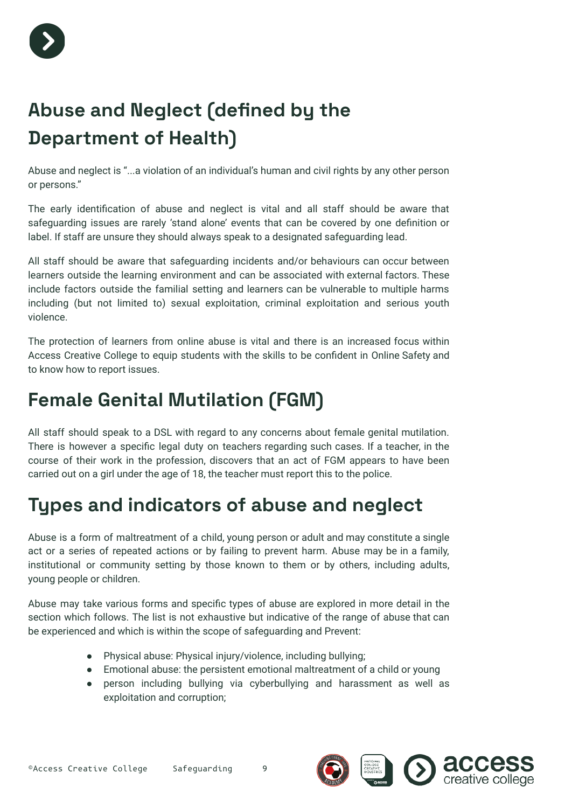

### **Abuse and Neglect (defined by the Department of Health)**

Abuse and neglect is "...a violation of an individual's human and civil rights by any other person or persons."

The early identification of abuse and neglect is vital and all staff should be aware that safeguarding issues are rarely 'stand alone' events that can be covered by one definition or label. If staff are unsure they should always speak to a designated safeguarding lead.

All staff should be aware that safeguarding incidents and/or behaviours can occur between learners outside the learning environment and can be associated with external factors. These include factors outside the familial setting and learners can be vulnerable to multiple harms including (but not limited to) sexual exploitation, criminal exploitation and serious youth violence.

The protection of learners from online abuse is vital and there is an increased focus within Access Creative College to equip students with the skills to be confident in Online Safety and to know how to report issues.

### **Female Genital Mutilation (FGM)**

All staff should speak to a DSL with regard to any concerns about female genital mutilation. There is however a specific legal duty on teachers regarding such cases. If a teacher, in the course of their work in the profession, discovers that an act of FGM appears to have been carried out on a girl under the age of 18, the teacher must report this to the police.

### **Types and indicators of abuse and neglect**

Abuse is a form of maltreatment of a child, young person or adult and may constitute a single act or a series of repeated actions or by failing to prevent harm. Abuse may be in a family, institutional or community setting by those known to them or by others, including adults, young people or children.

Abuse may take various forms and specific types of abuse are explored in more detail in the section which follows. The list is not exhaustive but indicative of the range of abuse that can be experienced and which is within the scope of safeguarding and Prevent:

- Physical abuse: Physical injury/violence, including bullying;
- Emotional abuse: the persistent emotional maltreatment of a child or young
- person including bullying via cyberbullying and harassment as well as exploitation and corruption;



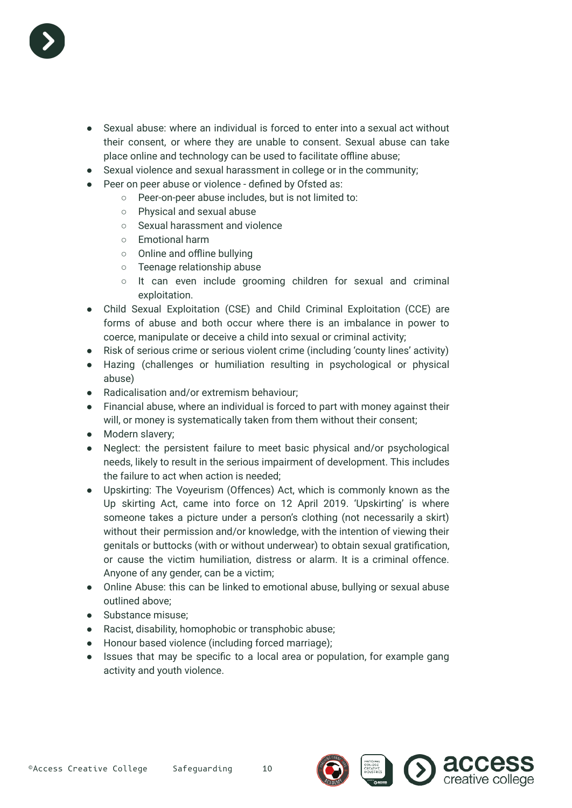

- Sexual abuse: where an individual is forced to enter into a sexual act without their consent, or where they are unable to consent. Sexual abuse can take place online and technology can be used to facilitate offline abuse;
- Sexual violence and sexual harassment in college or in the community;
- Peer on peer abuse or violence defined by Ofsted as:
	- Peer-on-peer abuse includes, but is not limited to:
		- Physical and sexual abuse
		- Sexual harassment and violence
		- Emotional harm
		- Online and offline bullying
		- Teenage relationship abuse
		- It can even include grooming children for sexual and criminal exploitation.
- Child Sexual Exploitation (CSE) and Child Criminal Exploitation (CCE) are forms of abuse and both occur where there is an imbalance in power to coerce, manipulate or deceive a child into sexual or criminal activity;
- Risk of serious crime or serious violent crime (including 'county lines' activity)
- Hazing (challenges or humiliation resulting in psychological or physical abuse)
- Radicalisation and/or extremism behaviour;
- Financial abuse, where an individual is forced to part with money against their will, or money is systematically taken from them without their consent;
- Modern slavery;
- Neglect: the persistent failure to meet basic physical and/or psychological needs, likely to result in the serious impairment of development. This includes the failure to act when action is needed;
- Upskirting: The Voyeurism (Offences) Act, which is commonly known as the Up skirting Act, came into force on 12 April 2019. 'Upskirting' is where someone takes a picture under a person's clothing (not necessarily a skirt) without their permission and/or knowledge, with the intention of viewing their genitals or buttocks (with or without underwear) to obtain sexual gratification, or cause the victim humiliation, distress or alarm. It is a criminal offence. Anyone of any gender, can be a victim;
- Online Abuse: this can be linked to emotional abuse, bullying or sexual abuse outlined above;
- Substance misuse:
- Racist, disability, homophobic or transphobic abuse;
- Honour based violence (including forced marriage);
- Issues that may be specific to a local area or population, for example gang activity and youth violence.

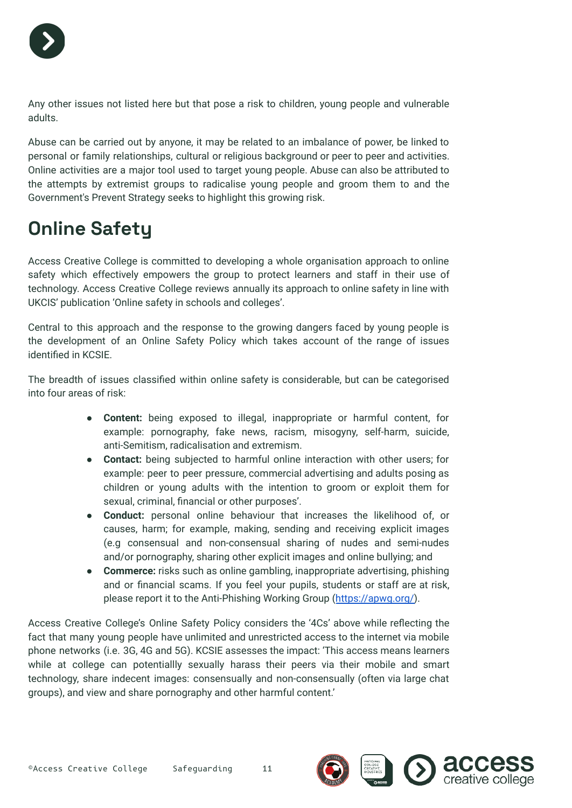

Any other issues not listed here but that pose a risk to children, young people and vulnerable adults.

Abuse can be carried out by anyone, it may be related to an imbalance of power, be linked to personal or family relationships, cultural or religious background or peer to peer and activities. Online activities are a major tool used to target young people. Abuse can also be attributed to the attempts by extremist groups to radicalise young people and groom them to and the Government's Prevent Strategy seeks to highlight this growing risk.

### **Online Safety**

Access Creative College is committed to developing a whole organisation approach to online safety which effectively empowers the group to protect learners and staff in their use of technology. Access Creative College reviews annually its approach to online safety in line with UKCIS' publication 'Online safety in schools and colleges'.

Central to this approach and the response to the growing dangers faced by young people is the development of an Online Safety Policy which takes account of the range of issues identified in KCSIE.

The breadth of issues classified within online safety is considerable, but can be categorised into four areas of risk:

- **Content:** being exposed to illegal, inappropriate or harmful content, for example: pornography, fake news, racism, misogyny, self-harm, suicide, anti-Semitism, radicalisation and extremism.
- **Contact:** being subjected to harmful online interaction with other users; for example: peer to peer pressure, commercial advertising and adults posing as children or young adults with the intention to groom or exploit them for sexual, criminal, financial or other purposes'.
- **Conduct:** personal online behaviour that increases the likelihood of, or causes, harm; for example, making, sending and receiving explicit images (e.g consensual and non-consensual sharing of nudes and semi-nudes and/or pornography, sharing other explicit images and online bullying; and
- **Commerce:** risks such as online gambling, inappropriate advertising, phishing and or financial scams. If you feel your pupils, students or staff are at risk, please report it to the Anti-Phishing Working Group ([https://apwg.org/\)](https://apwg.org/).

Access Creative College's Online Safety Policy considers the '4Cs' above while reflecting the fact that many young people have unlimited and unrestricted access to the internet via mobile phone networks (i.e. 3G, 4G and 5G). KCSIE assesses the impact: 'This access means learners while at college can potentiallly sexually harass their peers via their mobile and smart technology, share indecent images: consensually and non-consensually (often via large chat groups), and view and share pornography and other harmful content.'



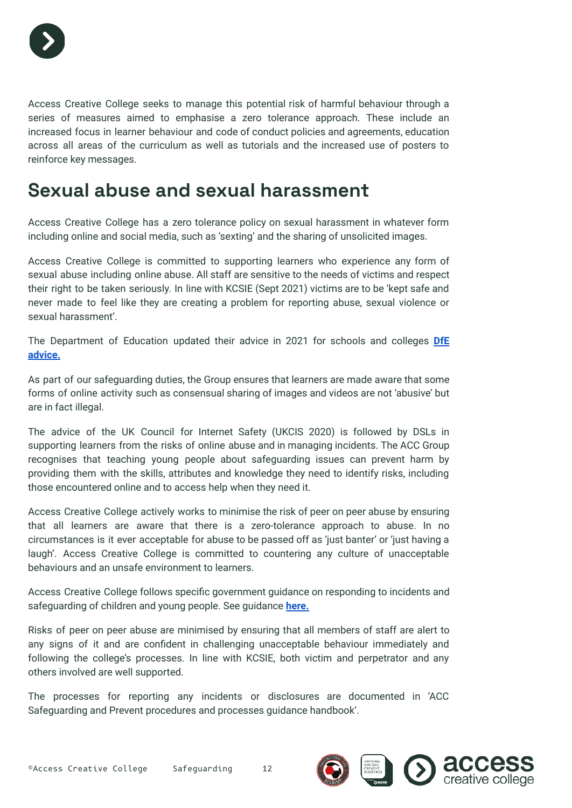

Access Creative College seeks to manage this potential risk of harmful behaviour through a series of measures aimed to emphasise a zero tolerance approach. These include an increased focus in learner behaviour and code of conduct policies and agreements, education across all areas of the curriculum as well as tutorials and the increased use of posters to reinforce key messages.

#### **Sexual abuse and sexual harassment**

Access Creative College has a zero tolerance policy on sexual harassment in whatever form including online and social media, such as 'sexting' and the sharing of unsolicited images.

Access Creative College is committed to supporting learners who experience any form of sexual abuse including online abuse. All staff are sensitive to the needs of victims and respect their right to be taken seriously. In line with KCSIE (Sept 2021) victims are to be 'kept safe and never made to feel like they are creating a problem for reporting abuse, sexual violence or sexual harassment'.

The Department of Education updated their advice in 2021 for schools and colleges **[DfE](https://www.gov.uk/government/publications/sexual-violence-and-sexual-harassment-between-children-in-schools-and-colleges) [advice.](https://www.gov.uk/government/publications/sexual-violence-and-sexual-harassment-between-children-in-schools-and-colleges)**

As part of our safeguarding duties, the Group ensures that learners are made aware that some forms of online activity such as consensual sharing of images and videos are not 'abusive' but are in fact illegal.

The advice of the UK Council for Internet Safety (UKCIS 2020) is followed by DSLs in supporting learners from the risks of online abuse and in managing incidents. The ACC Group recognises that teaching young people about safeguarding issues can prevent harm by providing them with the skills, attributes and knowledge they need to identify risks, including those encountered online and to access help when they need it.

Access Creative College actively works to minimise the risk of peer on peer abuse by ensuring that all learners are aware that there is a zero-tolerance approach to abuse. In no circumstances is it ever acceptable for abuse to be passed off as 'just banter' or 'just having a laugh'. Access Creative College is committed to countering any culture of unacceptable behaviours and an unsafe environment to learners.

Access Creative College follows specific government guidance on responding to incidents and safeguarding of children and young people. See guidance **[here.](https://www.gov.uk/government/publications/sharing-nudes-and-semi-nudes-advice-for-education-settings-working-with-children-and-young-people)**

Risks of peer on peer abuse are minimised by ensuring that all members of staff are alert to any signs of it and are confident in challenging unacceptable behaviour immediately and following the college's processes. In line with KCSIE, both victim and perpetrator and any others involved are well supported.

The processes for reporting any incidents or disclosures are documented in 'ACC Safeguarding and Prevent procedures and processes guidance handbook'.

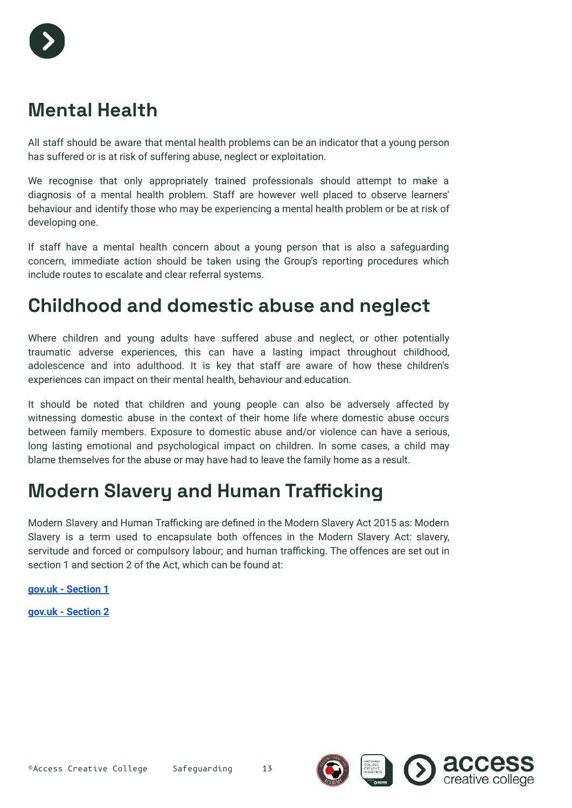### **Mental Health**

All staff should be aware that mental health problems can be an indicator that a young person has suffered or is at risk of suffering abuse, neglect or exploitation.

We recognise that only appropriately trained professionals should attempt to make a diagnosis of a mental health problem. Staff are however well placed to observe learners' behaviour and identify those who may be experiencing a mental health problem or be at risk of developing one.

If staff have a mental health concern about a young person that is also a safeguarding concern, immediate action should be taken using the Group's reporting procedures which include routes to escalate and clear referral systems.

#### **Childhood and domestic abuse and neglect**

Where children and young adults have suffered abuse and neglect, or other potentially traumatic adverse experiences, this can have a lasting impact throughout childhood, adolescence and into adulthood. It is key that staff are aware of how these children's experiences can impact on their mental health, behaviour and education.

It should be noted that children and young people can also be adversely affected by witnessing domestic abuse in the context of their home life where domestic abuse occurs between family members. Exposure to domestic abuse and/or violence can have a serious, long lasting emotional and psychological impact on children. In some cases, a child may blame themselves for the abuse or may have had to leave the family home as a result.

#### **Modern Slavery and Human Trafficking**

Modern Slavery and Human Trafficking are defined in the Modern Slavery Act 2015 as: Modern Slavery is a term used to encapsulate both offences in the Modern Slavery Act: slavery, servitude and forced or compulsory labour; and human trafficking. The offences are set out in section 1 and section 2 of the Act, which can be found at:

**[gov.uk - Section 1](https://www.legislation.gov.uk/ukpga/2015/30/section/1/enacted)**

**[gov.uk - Section 2](https://www.legislation.gov.uk/ukpga/2015/30/section/2/enacted)**



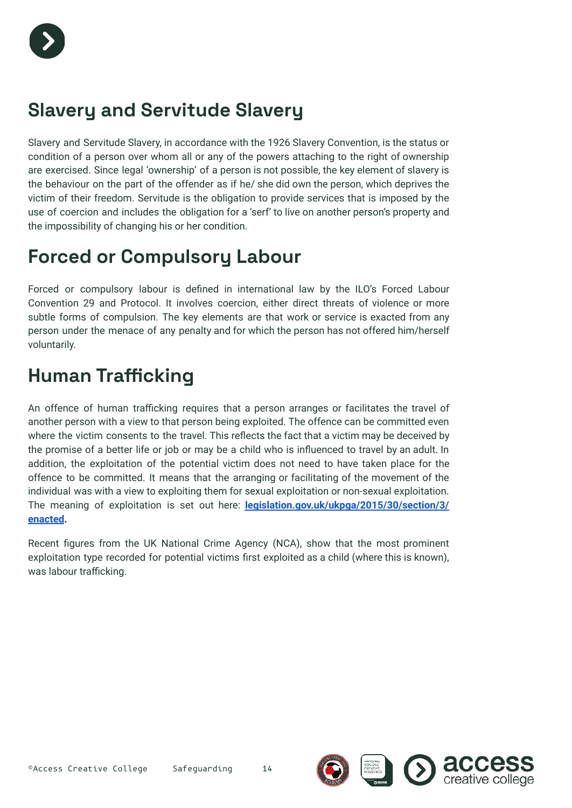

### **Slavery and Servitude Slavery**

Slavery and Servitude Slavery, in accordance with the 1926 Slavery Convention, is the status or condition of a person over whom all or any of the powers attaching to the right of ownership are exercised. Since legal 'ownership' of a person is not possible, the key element of slavery is the behaviour on the part of the offender as if he/ she did own the person, which deprives the victim of their freedom. Servitude is the obligation to provide services that is imposed by the use of coercion and includes the obligation for a 'serf' to live on another person's property and the impossibility of changing his or her condition.

### **Forced or Compulsory Labour**

Forced or compulsory labour is defined in international law by the ILO's Forced Labour Convention 29 and Protocol. It involves coercion, either direct threats of violence or more subtle forms of compulsion. The key elements are that work or service is exacted from any person under the menace of any penalty and for which the person has not offered him/herself voluntarily.

### **Human Trafficking**

An offence of human trafficking requires that a person arranges or facilitates the travel of another person with a view to that person being exploited. The offence can be committed even where the victim consents to the travel. This reflects the fact that a victim may be deceived by the promise of a better life or job or may be a child who is influenced to travel by an adult. In addition, the exploitation of the potential victim does not need to have taken place for the offence to be committed. It means that the arranging or facilitating of the movement of the individual was with a view to exploiting them for sexual exploitation or non-sexual exploitation. The meaning of exploitation is set out here: **[legislation.gov.uk/ukpga/2015/30/section/3/](http://legislation.gov.uk/ukpga/2015/30/section/3/%20enacted) [enacted](http://legislation.gov.uk/ukpga/2015/30/section/3/%20enacted).**

Recent figures from the UK National Crime Agency (NCA), show that the most prominent exploitation type recorded for potential victims first exploited as a child (where this is known), was labour trafficking.

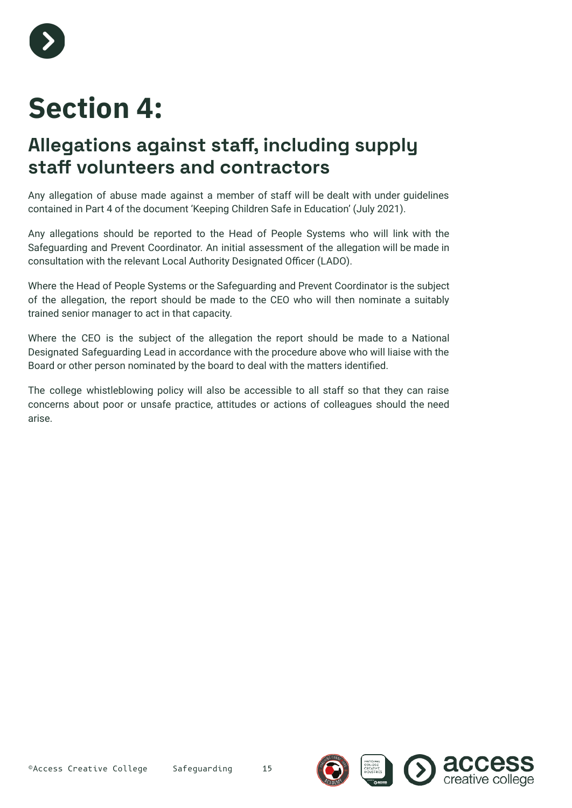

# **Section 4:**

### **Allegations against staff, including supply staff volunteers and contractors**

Any allegation of abuse made against a member of staff will be dealt with under guidelines contained in Part 4 of the document 'Keeping Children Safe in Education' (July 2021).

Any allegations should be reported to the Head of People Systems who will link with the Safeguarding and Prevent Coordinator. An initial assessment of the allegation will be made in consultation with the relevant Local Authority Designated Officer (LADO).

Where the Head of People Systems or the Safeguarding and Prevent Coordinator is the subject of the allegation, the report should be made to the CEO who will then nominate a suitably trained senior manager to act in that capacity.

Where the CEO is the subject of the allegation the report should be made to a National Designated Safeguarding Lead in accordance with the procedure above who will liaise with the Board or other person nominated by the board to deal with the matters identified.

The college whistleblowing policy will also be accessible to all staff so that they can raise concerns about poor or unsafe practice, attitudes or actions of colleagues should the need arise.

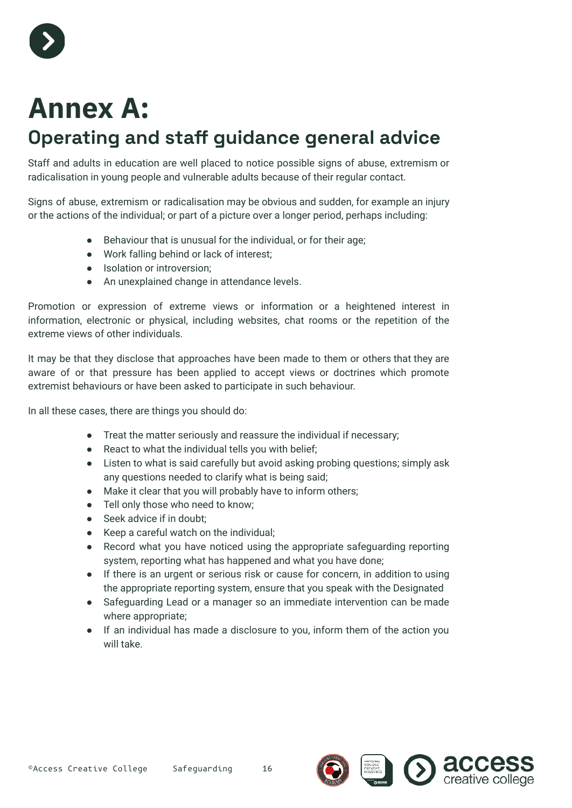

# **Annex A:**

### **Operating and staff guidance general advice**

Staff and adults in education are well placed to notice possible signs of abuse, extremism or radicalisation in young people and vulnerable adults because of their regular contact.

Signs of abuse, extremism or radicalisation may be obvious and sudden, for example an injury or the actions of the individual; or part of a picture over a longer period, perhaps including:

- Behaviour that is unusual for the individual, or for their age;
- Work falling behind or lack of interest;
- Isolation or introversion;
- An unexplained change in attendance levels.

Promotion or expression of extreme views or information or a heightened interest in information, electronic or physical, including websites, chat rooms or the repetition of the extreme views of other individuals.

It may be that they disclose that approaches have been made to them or others that they are aware of or that pressure has been applied to accept views or doctrines which promote extremist behaviours or have been asked to participate in such behaviour.

In all these cases, there are things you should do:

- Treat the matter seriously and reassure the individual if necessary;
- React to what the individual tells you with belief;
- Listen to what is said carefully but avoid asking probing questions; simply ask any questions needed to clarify what is being said;
- Make it clear that you will probably have to inform others;
- Tell only those who need to know;
- Seek advice if in doubt:
- Keep a careful watch on the individual;
- Record what you have noticed using the appropriate safeguarding reporting system, reporting what has happened and what you have done;
- If there is an urgent or serious risk or cause for concern, in addition to using the appropriate reporting system, ensure that you speak with the Designated
- Safeguarding Lead or a manager so an immediate intervention can be made where appropriate;
- If an individual has made a disclosure to you, inform them of the action you will take.



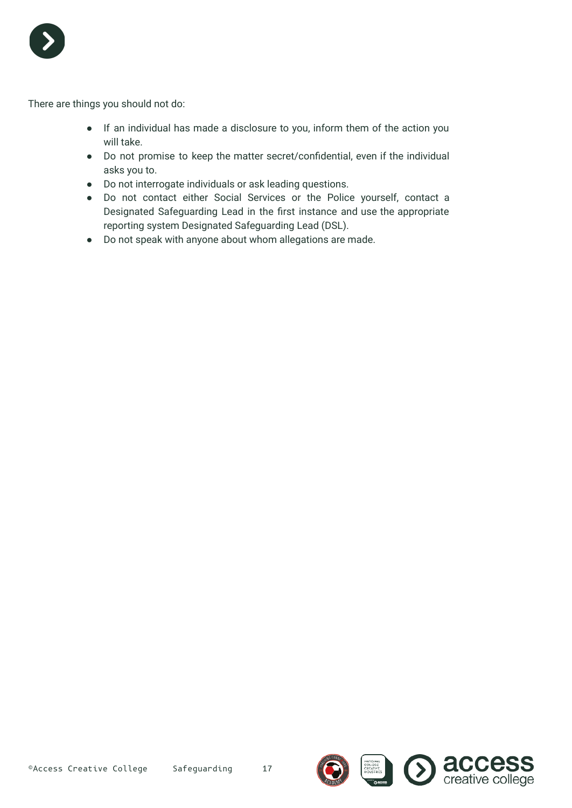

There are things you should not do:

- If an individual has made a disclosure to you, inform them of the action you will take.
- Do not promise to keep the matter secret/confidential, even if the individual asks you to.
- Do not interrogate individuals or ask leading questions.
- Do not contact either Social Services or the Police yourself, contact a Designated Safeguarding Lead in the first instance and use the appropriate reporting system Designated Safeguarding Lead (DSL).
- Do not speak with anyone about whom allegations are made.

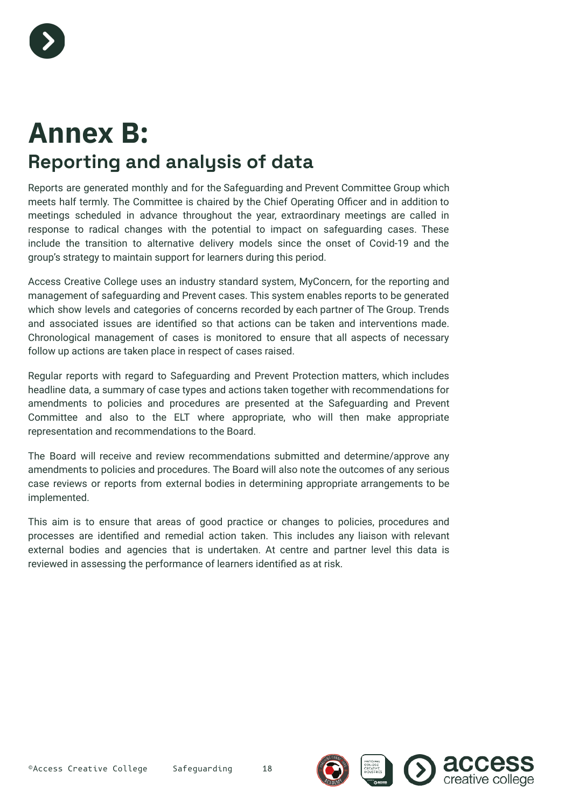

# **Annex B: Reporting and analysis of data**

Reports are generated monthly and for the Safeguarding and Prevent Committee Group which meets half termly. The Committee is chaired by the Chief Operating Officer and in addition to meetings scheduled in advance throughout the year, extraordinary meetings are called in response to radical changes with the potential to impact on safeguarding cases. These include the transition to alternative delivery models since the onset of Covid-19 and the group's strategy to maintain support for learners during this period.

Access Creative College uses an industry standard system, MyConcern, for the reporting and management of safeguarding and Prevent cases. This system enables reports to be generated which show levels and categories of concerns recorded by each partner of The Group. Trends and associated issues are identified so that actions can be taken and interventions made. Chronological management of cases is monitored to ensure that all aspects of necessary follow up actions are taken place in respect of cases raised.

Regular reports with regard to Safeguarding and Prevent Protection matters, which includes headline data, a summary of case types and actions taken together with recommendations for amendments to policies and procedures are presented at the Safeguarding and Prevent Committee and also to the ELT where appropriate, who will then make appropriate representation and recommendations to the Board.

The Board will receive and review recommendations submitted and determine/approve any amendments to policies and procedures. The Board will also note the outcomes of any serious case reviews or reports from external bodies in determining appropriate arrangements to be implemented.

This aim is to ensure that areas of good practice or changes to policies, procedures and processes are identified and remedial action taken. This includes any liaison with relevant external bodies and agencies that is undertaken. At centre and partner level this data is reviewed in assessing the performance of learners identified as at risk.

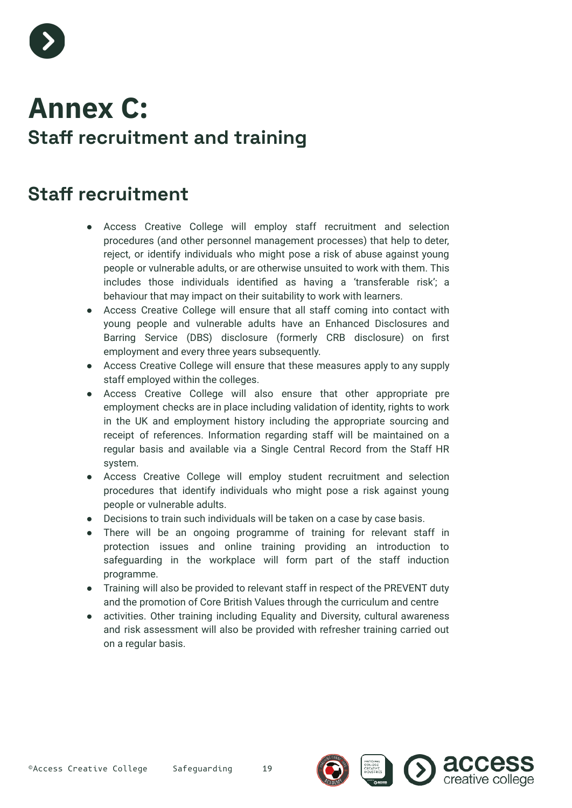

# **Annex C: Staff recruitment and training**

#### **Staff recruitment**

- Access Creative College will employ staff recruitment and selection procedures (and other personnel management processes) that help to deter, reject, or identify individuals who might pose a risk of abuse against young people or vulnerable adults, or are otherwise unsuited to work with them. This includes those individuals identified as having a 'transferable risk'; a behaviour that may impact on their suitability to work with learners.
- Access Creative College will ensure that all staff coming into contact with young people and vulnerable adults have an Enhanced Disclosures and Barring Service (DBS) disclosure (formerly CRB disclosure) on first employment and every three years subsequently.
- Access Creative College will ensure that these measures apply to any supply staff employed within the colleges.
- Access Creative College will also ensure that other appropriate pre employment checks are in place including validation of identity, rights to work in the UK and employment history including the appropriate sourcing and receipt of references. Information regarding staff will be maintained on a regular basis and available via a Single Central Record from the Staff HR system.
- Access Creative College will employ student recruitment and selection procedures that identify individuals who might pose a risk against young people or vulnerable adults.
- Decisions to train such individuals will be taken on a case by case basis.
- There will be an ongoing programme of training for relevant staff in protection issues and online training providing an introduction to safeguarding in the workplace will form part of the staff induction programme.
- Training will also be provided to relevant staff in respect of the PREVENT duty and the promotion of Core British Values through the curriculum and centre
- activities. Other training including Equality and Diversity, cultural awareness and risk assessment will also be provided with refresher training carried out on a regular basis.

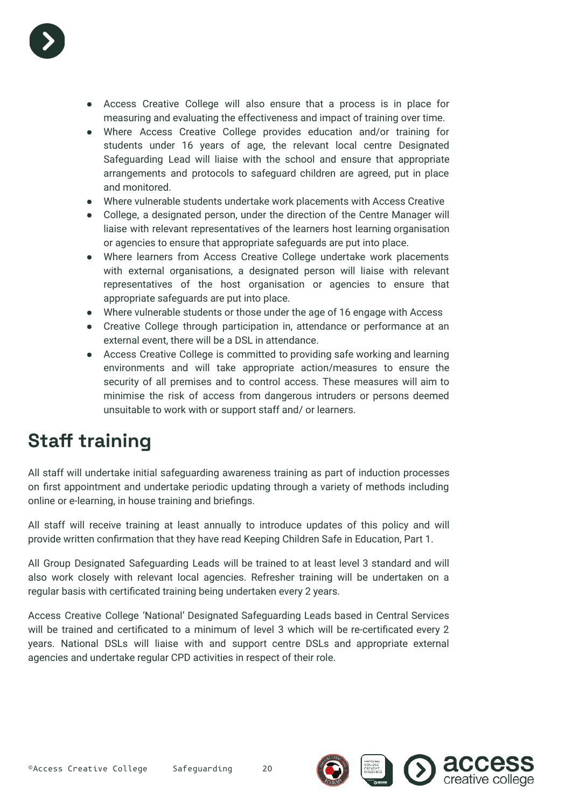

- Access Creative College will also ensure that a process is in place for measuring and evaluating the effectiveness and impact of training over time.
- Where Access Creative College provides education and/or training for students under 16 years of age, the relevant local centre Designated Safeguarding Lead will liaise with the school and ensure that appropriate arrangements and protocols to safeguard children are agreed, put in place and monitored.
- Where vulnerable students undertake work placements with Access Creative
- College, a designated person, under the direction of the Centre Manager will liaise with relevant representatives of the learners host learning organisation or agencies to ensure that appropriate safeguards are put into place.
- Where learners from Access Creative College undertake work placements with external organisations, a designated person will liaise with relevant representatives of the host organisation or agencies to ensure that appropriate safeguards are put into place.
- Where vulnerable students or those under the age of 16 engage with Access
- Creative College through participation in, attendance or performance at an external event, there will be a DSL in attendance.
- Access Creative College is committed to providing safe working and learning environments and will take appropriate action/measures to ensure the security of all premises and to control access. These measures will aim to minimise the risk of access from dangerous intruders or persons deemed unsuitable to work with or support staff and/ or learners.

### **Staff training**

All staff will undertake initial safeguarding awareness training as part of induction processes on first appointment and undertake periodic updating through a variety of methods including online or e-learning, in house training and briefings.

All staff will receive training at least annually to introduce updates of this policy and will provide written confirmation that they have read Keeping Children Safe in Education, Part 1.

All Group Designated Safeguarding Leads will be trained to at least level 3 standard and will also work closely with relevant local agencies. Refresher training will be undertaken on a regular basis with certificated training being undertaken every 2 years.

Access Creative College 'National' Designated Safeguarding Leads based in Central Services will be trained and certificated to a minimum of level 3 which will be re-certificated every 2 years. National DSLs will liaise with and support centre DSLs and appropriate external agencies and undertake regular CPD activities in respect of their role.

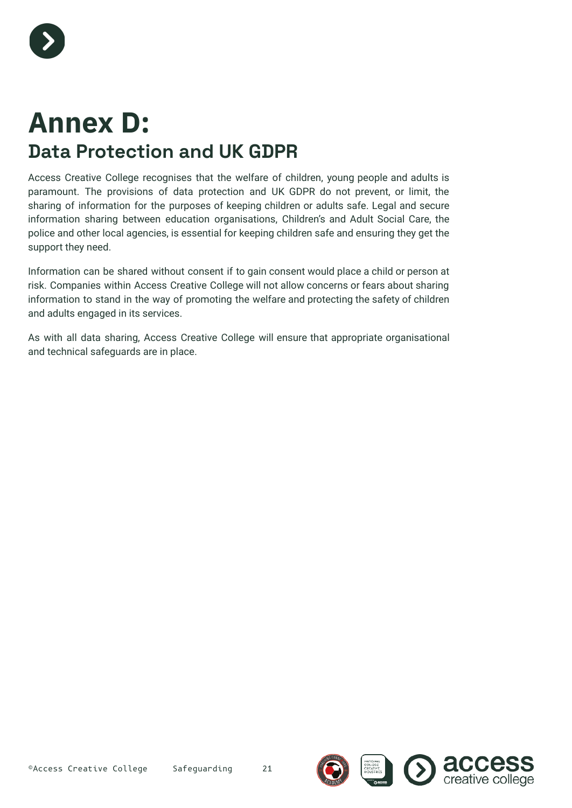

# **Annex D: Data Protection and UK GDPR**

Access Creative College recognises that the welfare of children, young people and adults is paramount. The provisions of data protection and UK GDPR do not prevent, or limit, the sharing of information for the purposes of keeping children or adults safe. Legal and secure information sharing between education organisations, Children's and Adult Social Care, the police and other local agencies, is essential for keeping children safe and ensuring they get the support they need.

Information can be shared without consent if to gain consent would place a child or person at risk. Companies within Access Creative College will not allow concerns or fears about sharing information to stand in the way of promoting the welfare and protecting the safety of children and adults engaged in its services.

As with all data sharing, Access Creative College will ensure that appropriate organisational and technical safeguards are in place.



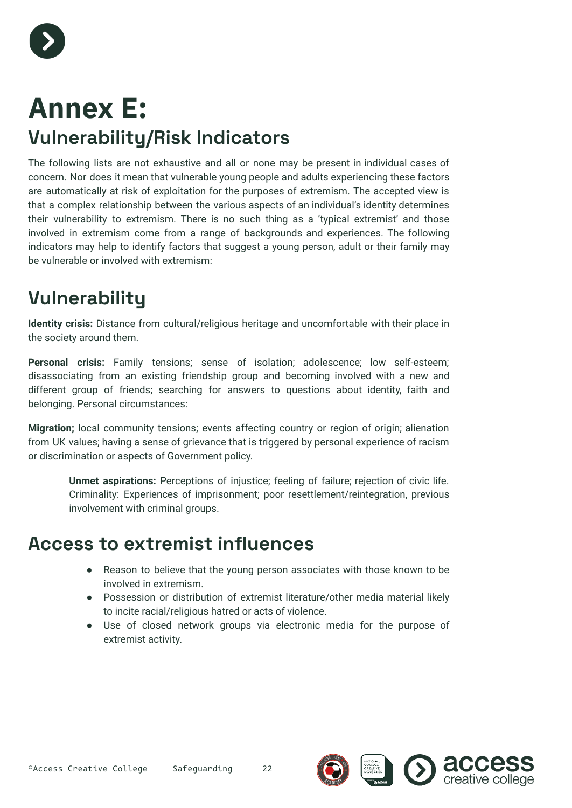

# **Annex E: Vulnerability/Risk Indicators**

The following lists are not exhaustive and all or none may be present in individual cases of concern. Nor does it mean that vulnerable young people and adults experiencing these factors are automatically at risk of exploitation for the purposes of extremism. The accepted view is that a complex relationship between the various aspects of an individual's identity determines their vulnerability to extremism. There is no such thing as a 'typical extremist' and those involved in extremism come from a range of backgrounds and experiences. The following indicators may help to identify factors that suggest a young person, adult or their family may be vulnerable or involved with extremism:

### **Vulnerability**

**Identity crisis:** Distance from cultural/religious heritage and uncomfortable with their place in the society around them.

**Personal crisis:** Family tensions; sense of isolation; adolescence; low self-esteem; disassociating from an existing friendship group and becoming involved with a new and different group of friends; searching for answers to questions about identity, faith and belonging. Personal circumstances:

**Migration;** local community tensions; events affecting country or region of origin; alienation from UK values; having a sense of grievance that is triggered by personal experience of racism or discrimination or aspects of Government policy.

**Unmet aspirations:** Perceptions of injustice; feeling of failure; rejection of civic life. Criminality: Experiences of imprisonment; poor resettlement/reintegration, previous involvement with criminal groups.

#### **Access to extremist influences**

- Reason to believe that the young person associates with those known to be involved in extremism.
- Possession or distribution of extremist literature/other media material likely to incite racial/religious hatred or acts of violence.
- Use of closed network groups via electronic media for the purpose of extremist activity.

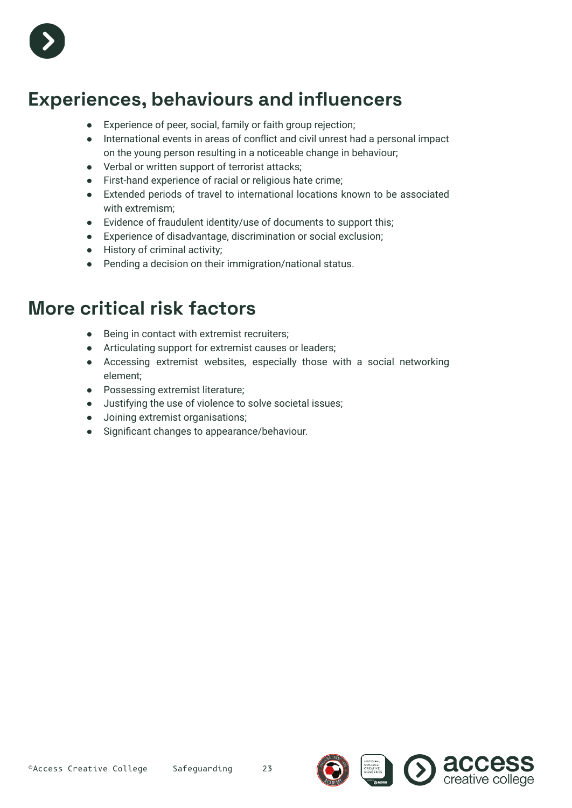

### **Experiences, behaviours and influencers**

- Experience of peer, social, family or faith group rejection;
- International events in areas of conflict and civil unrest had a personal impact on the young person resulting in a noticeable change in behaviour;
- Verbal or written support of terrorist attacks;
- First-hand experience of racial or religious hate crime;
- Extended periods of travel to international locations known to be associated with extremism;
- Evidence of fraudulent identity/use of documents to support this;
- Experience of disadvantage, discrimination or social exclusion;
- History of criminal activity;
- Pending a decision on their immigration/national status.

#### **More critical risk factors**

- Being in contact with extremist recruiters:
- Articulating support for extremist causes or leaders;
- Accessing extremist websites, especially those with a social networking element;
- Possessing extremist literature;
- Justifying the use of violence to solve societal issues;
- Joining extremist organisations;
- Significant changes to appearance/behaviour.



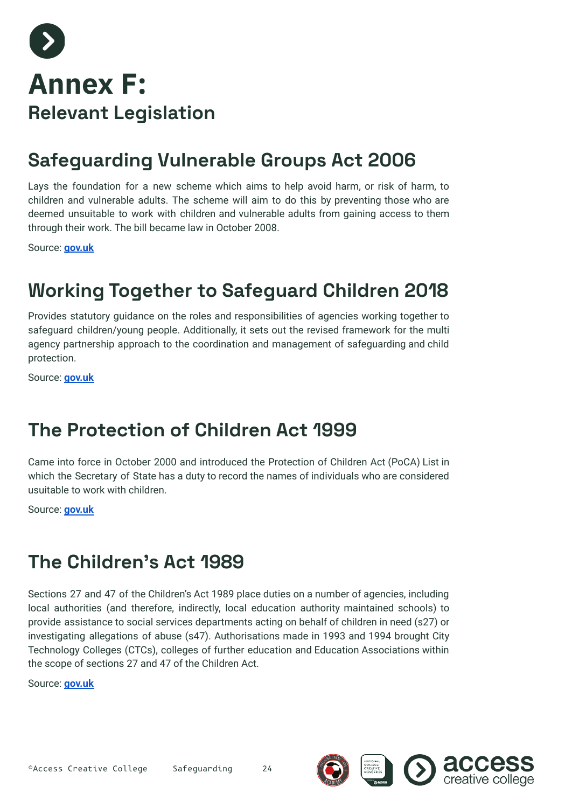

### **Safeguarding Vulnerable Groups Act 2006**

Lays the foundation for a new scheme which aims to help avoid harm, or risk of harm, to children and vulnerable adults. The scheme will aim to do this by preventing those who are deemed unsuitable to work with children and vulnerable adults from gaining access to them through their work. The bill became law in October 2008.

Source: **[gov.uk](https://www.gov.uk/government/publications/every-child-matters)**

### **Working Together to Safeguard Children 2018**

Provides statutory guidance on the roles and responsibilities of agencies working together to safeguard children/young people. Additionally, it sets out the revised framework for the multi agency partnership approach to the coordination and management of safeguarding and child protection.

Source: **[gov.uk](https://www.gov.uk/government/publications/working-together-to-safeguard-children--2)**

#### **The Protection of Children Act 1999**

Came into force in October 2000 and introduced the Protection of Children Act (PoCA) List in which the Secretary of State has a duty to record the names of individuals who are considered usuitable to work with children.

Source: **[gov.uk](https://www.legislation.gov.uk/ukpga/1999/14/contents)**

#### **The Children's Act 1989**

Sections 27 and 47 of the Children's Act 1989 place duties on a number of agencies, including local authorities (and therefore, indirectly, local education authority maintained schools) to provide assistance to social services departments acting on behalf of children in need (s27) or investigating allegations of abuse (s47). Authorisations made in 1993 and 1994 brought City Technology Colleges (CTCs), colleges of further education and Education Associations within the scope of sections 27 and 47 of the Children Act.

Source: **[gov.uk](https://www.legislation.gov.uk/ukpga/1989/41/section/27)**

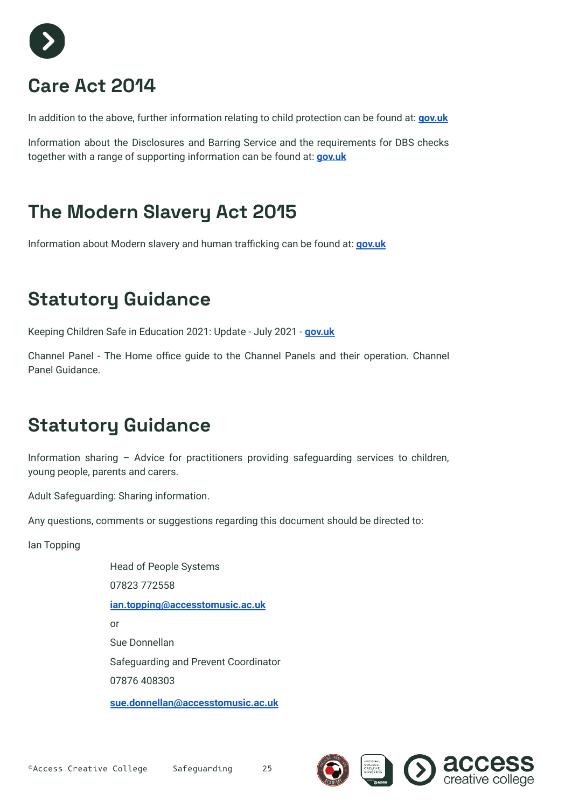

### **Care Act 2014**

In addition to the above, further information relating to child protection can be found at: **[gov.uk](https://www.legislation.gov.uk/ukpga/2014/23/contents/enacted)**

Information about the Disclosures and Barring Service and the requirements for DBS checks together with a range of supporting information can be found at: **[gov.uk](https://www.gov.uk/government/organisations/disclosure-and-barring-service)**

### **The Modern Slavery Act 2015**

Information about Modern slavery and human trafficking can be found at: **[gov.uk](https://www.gov.uk/government/collections/modern-slavery)**

### **Statutory Guidance**

Keeping Children Safe in Education 2021: Update - July 2021 - **[gov.uk](https://www.gov.uk/government/publications/working-together-to-safeguard-children--2)**

Channel Panel - The Home office guide to the Channel Panels and their operation. Channel Panel Guidance.

### **Statutory Guidance**

Information sharing – Advice for practitioners providing safeguarding services to children, young people, parents and carers.

Adult Safeguarding: Sharing information.

Any questions, comments or suggestions regarding this document should be directed to:

Ian Topping

Head of People Systems 07823 772558 **[ian.topping@accesstomusic.ac.uk](mailto:ian.topping@accesstomusic.ac.uk)** or Sue Donnellan Safeguarding and Prevent Coordinator 07876 408303 **[sue.donnellan@accesstomusic.ac.uk](mailto:sue.donnellan@accesstomusic.ac.uk)**

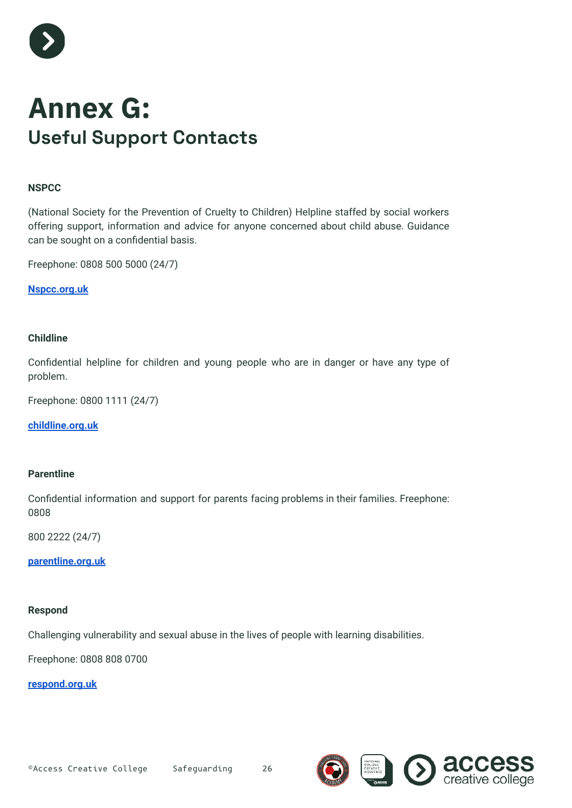

## **Annex G: Useful Support Contacts**

#### **NSPCC**

(National Society for the Prevention of Cruelty to Children) Helpline staffed by social workers offering support, information and advice for anyone concerned about child abuse. Guidance can be sought on a confidential basis.

Freephone: 0808 500 5000 (24/7)

**[Nspcc.org.uk](http://nspcc.org.uk)**

#### **Childline**

Confidential helpline for children and young people who are in danger or have any type of problem.

Freephone: 0800 1111 (24/7)

**[childline.org.uk](http://childline.org.uk)**

#### **Parentline**

Confidential information and support for parents facing problems in their families. Freephone: 0808

800 2222 (24/7)

**[parentline.org.uk](http://parentline.org.uk)**

#### **Respond**

Challenging vulnerability and sexual abuse in the lives of people with learning disabilities.

Freephone: 0808 808 0700

**[respond.org.uk](http://respond.org.uk)**



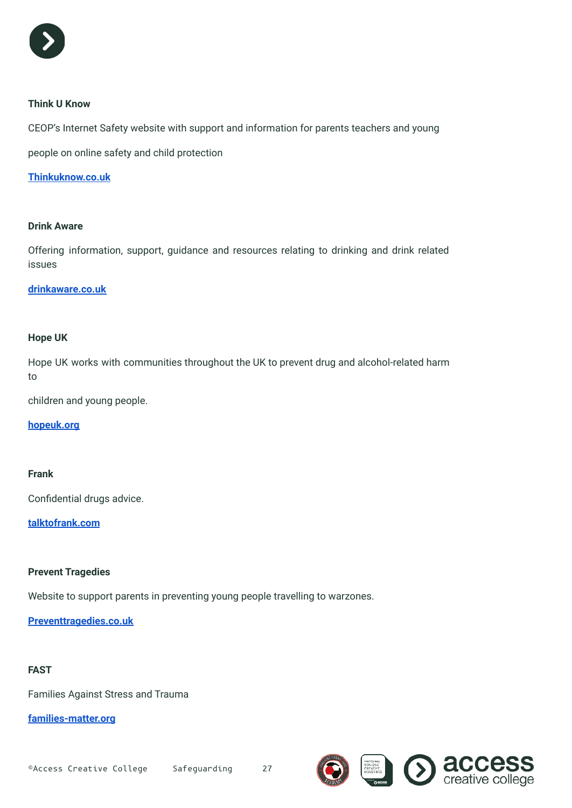

#### **Think U Know**

CEOP's Internet Safety website with support and information for parents teachers and young

people on online safety and child protection

**[Thinkuknow.co.uk](http://thinkuknow.co.uk)**

#### **Drink Aware**

Offering information, support, guidance and resources relating to drinking and drink related issues

#### **[drinkaware.co.uk](http://drinkaware.co.uk)**

#### **Hope UK**

Hope UK works with communities throughout the UK to prevent drug and alcohol-related harm to

children and young people.

#### **[hopeuk.org](http://hopeuk.org)**

#### **Frank**

Confidential drugs advice.

**[talktofrank.com](http://talktofrank.com)**

#### **Prevent Tragedies**

Website to support parents in preventing young people travelling to warzones.

**[Preventtragedies.co.uk](http://preventtragedies.co.uk)**

#### **FAST**

Families Against Stress and Trauma

**[families-matter.org](http://families-matter.org)**

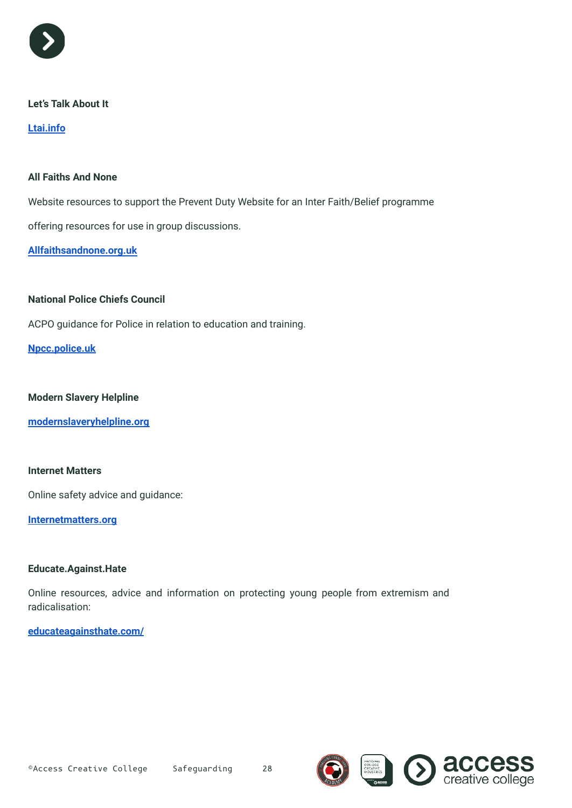

#### **Let's Talk About It**

**[Ltai.info](http://ltai.info)**

#### **All Faiths And None**

Website resources to support the Prevent Duty Website for an Inter Faith/Belief programme

offering resources for use in group discussions.

**[Allfaithsandnone.org.uk](http://allfaithsandnone.org.uk)**

#### **National Police Chiefs Council**

ACPO guidance for Police in relation to education and training.

**[Npcc.police.uk](http://npcc.police.uk)**

#### **Modern Slavery Helpline**

**[modernslaveryhelpline.org](http://modernslaveryhelpline.org)**

#### **Internet Matters**

Online safety advice and guidance:

**[Internetmatters.org](http://internetmatters.org)**

#### **Educate.Against.Hate**

Online resources, advice and information on protecting young people from extremism and radicalisation:

#### **[educateagainsthate.com/](http://educateagainsthate.com/)**